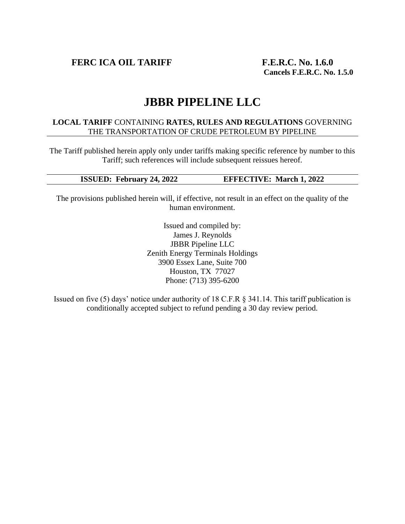**FERC ICA OIL TARIFF F.E.R.C. No. 1.6.0**

# **JBBR PIPELINE LLC**

#### **LOCAL TARIFF** CONTAINING **RATES, RULES AND REGULATIONS** GOVERNING THE TRANSPORTATION OF CRUDE PETROLEUM BY PIPELINE

The Tariff published herein apply only under tariffs making specific reference by number to this Tariff; such references will include subsequent reissues hereof.

#### **ISSUED: February 24, 2022 EFFECTIVE: March 1, 2022**

The provisions published herein will, if effective, not result in an effect on the quality of the human environment.

> Issued and compiled by: James J. Reynolds JBBR Pipeline LLC Zenith Energy Terminals Holdings 3900 Essex Lane, Suite 700 Houston, TX 77027 Phone: (713) 395-6200

Issued on five (5) days' notice under authority of 18 C.F.R § 341.14. This tariff publication is conditionally accepted subject to refund pending a 30 day review period.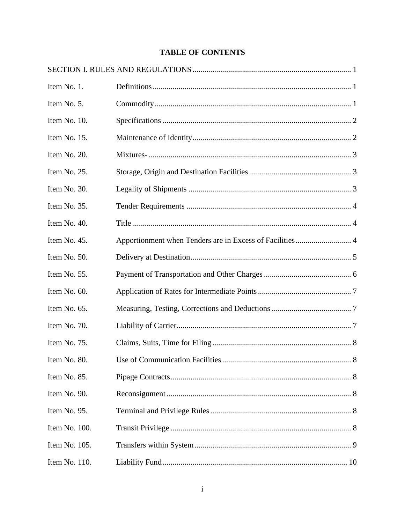# **TABLE OF CONTENTS**

| Item No. 1.   |                                      |  |
|---------------|--------------------------------------|--|
| Item No. 5.   |                                      |  |
| Item No. 10.  |                                      |  |
| Item No. 15.  |                                      |  |
| Item No. 20.  |                                      |  |
| Item No. 25.  |                                      |  |
| Item No. 30.  |                                      |  |
| Item No. 35.  |                                      |  |
| Item No. 40.  |                                      |  |
| Item No. 45.  |                                      |  |
| Item No. 50.  |                                      |  |
| Item No. 55.  |                                      |  |
| Item No. 60.  |                                      |  |
| Item No. 65.  |                                      |  |
| Item No. 70.  |                                      |  |
| Item No. 75.  |                                      |  |
| Item No. 80.  | Use of Communication Facilities<br>8 |  |
| Item No. 85.  |                                      |  |
| Item No. 90.  |                                      |  |
| Item No. 95.  |                                      |  |
| Item No. 100. |                                      |  |
| Item No. 105. |                                      |  |
| Item No. 110. |                                      |  |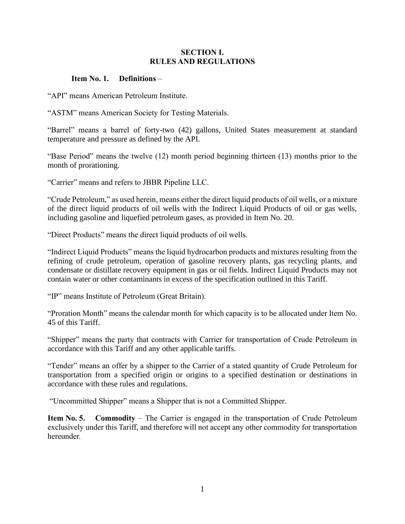#### **SECTION I. RULES AND REGULATIONS**

#### **Item No. 1. Definitions** –

"API" means American Petroleum Institute.

"ASTM" means American Society for Testing Materials.

"Barrel" means a barrel of forty-two (42) gallons, United States measurement at standard temperature and pressure as defined by the API.

"Base Period" means the twelve (12) month period beginning thirteen (13) months prior to the month of prorationing.

"Carrier" means and refers to JBBR Pipeline LLC.

"Crude Petroleum," as used herein, means either the direct liquid products of oil wells, or a mixture of the direct liquid products of oil wells with the Indirect Liquid Products of oil or gas wells, including gasoline and liquefied petroleum gases, as provided in Item No. 20.

"Direct Products" means the direct liquid products of oil wells.

"Indirect Liquid Products" means the liquid hydrocarbon products and mixtures resulting from the refining of crude petroleum, operation of gasoline recovery plants, gas recycling plants, and condensate or distillate recovery equipment in gas or oil fields. Indirect Liquid Products may not contain water or other contaminants in excess of the specification outlined in this Tariff.

"IP" means Institute of Petroleum (Great Britain).

"Proration Month" means the calendar month for which capacity is to be allocated under Item No. 45 of this Tariff.

"Shipper" means the party that contracts with Carrier for transportation of Crude Petroleum in accordance with this Tariff and any other applicable tariffs.

"Tender" means an offer by a shipper to the Carrier of a stated quantity of Crude Petroleum for transportation from a specified origin or origins to a specified destination or destinations in accordance with these rules and regulations.

"Uncommitted Shipper" means a Shipper that is not a Committed Shipper.

**Item No. 5. Commodity** – The Carrier is engaged in the transportation of Crude Petroleum exclusively under this Tariff, and therefore will not accept any other commodity for transportation hereunder.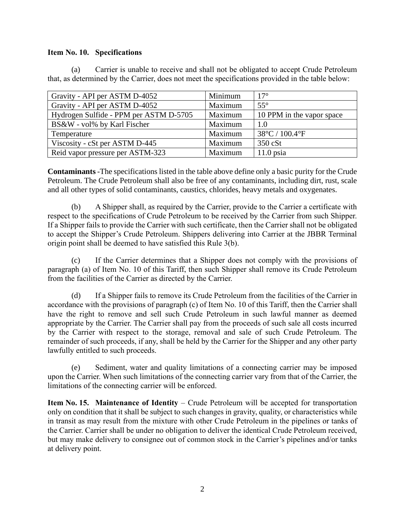#### **Item No. 10. Specifications**

(a) Carrier is unable to receive and shall not be obligated to accept Crude Petroleum that, as determined by the Carrier, does not meet the specifications provided in the table below:

| Gravity - API per ASTM D-4052          | Minimum | $17^{\circ}$                        |
|----------------------------------------|---------|-------------------------------------|
| Gravity - API per ASTM D-4052          | Maximum | $55^{\circ}$                        |
| Hydrogen Sulfide - PPM per ASTM D-5705 | Maximum | 10 PPM in the vapor space           |
| BS&W - vol% by Karl Fischer            | Maximum | 1.0                                 |
| Temperature                            | Maximum | $38^{\circ}$ C / 100.4 $^{\circ}$ F |
| Viscosity - cSt per ASTM D-445         | Maximum | 350 cSt                             |
| Reid vapor pressure per ASTM-323       | Maximum | $11.0$ psia                         |

**Contaminants** -The specifications listed in the table above define only a basic purity for the Crude Petroleum. The Crude Petroleum shall also be free of any contaminants, including dirt, rust, scale and all other types of solid contaminants, caustics, chlorides, heavy metals and oxygenates.

(b) A Shipper shall, as required by the Carrier, provide to the Carrier a certificate with respect to the specifications of Crude Petroleum to be received by the Carrier from such Shipper. If a Shipper fails to provide the Carrier with such certificate, then the Carrier shall not be obligated to accept the Shipper's Crude Petroleum. Shippers delivering into Carrier at the JBBR Terminal origin point shall be deemed to have satisfied this Rule 3(b).

(c) If the Carrier determines that a Shipper does not comply with the provisions of paragraph (a) of Item No. 10 of this Tariff, then such Shipper shall remove its Crude Petroleum from the facilities of the Carrier as directed by the Carrier.

(d) If a Shipper fails to remove its Crude Petroleum from the facilities of the Carrier in accordance with the provisions of paragraph (c) of Item No. 10 of this Tariff, then the Carrier shall have the right to remove and sell such Crude Petroleum in such lawful manner as deemed appropriate by the Carrier. The Carrier shall pay from the proceeds of such sale all costs incurred by the Carrier with respect to the storage, removal and sale of such Crude Petroleum. The remainder of such proceeds, if any, shall be held by the Carrier for the Shipper and any other party lawfully entitled to such proceeds.

(e) Sediment, water and quality limitations of a connecting carrier may be imposed upon the Carrier. When such limitations of the connecting carrier vary from that of the Carrier, the limitations of the connecting carrier will be enforced.

**Item No. 15. Maintenance of Identity** – Crude Petroleum will be accepted for transportation only on condition that it shall be subject to such changes in gravity, quality, or characteristics while in transit as may result from the mixture with other Crude Petroleum in the pipelines or tanks of the Carrier. Carrier shall be under no obligation to deliver the identical Crude Petroleum received, but may make delivery to consignee out of common stock in the Carrier's pipelines and/or tanks at delivery point.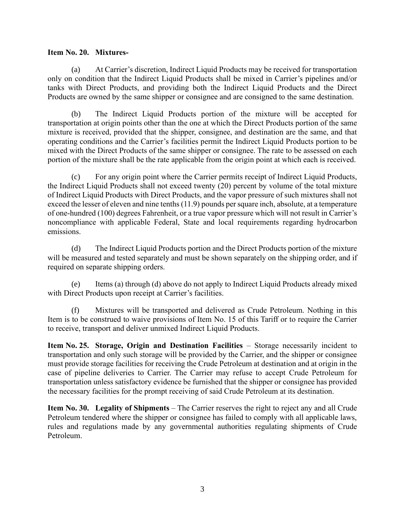#### **Item No. 20. Mixtures-**

(a) At Carrier's discretion, Indirect Liquid Products may be received for transportation only on condition that the Indirect Liquid Products shall be mixed in Carrier's pipelines and/or tanks with Direct Products, and providing both the Indirect Liquid Products and the Direct Products are owned by the same shipper or consignee and are consigned to the same destination.

(b) The Indirect Liquid Products portion of the mixture will be accepted for transportation at origin points other than the one at which the Direct Products portion of the same mixture is received, provided that the shipper, consignee, and destination are the same, and that operating conditions and the Carrier's facilities permit the Indirect Liquid Products portion to be mixed with the Direct Products of the same shipper or consignee. The rate to be assessed on each portion of the mixture shall be the rate applicable from the origin point at which each is received.

(c) For any origin point where the Carrier permits receipt of Indirect Liquid Products, the Indirect Liquid Products shall not exceed twenty (20) percent by volume of the total mixture of Indirect Liquid Products with Direct Products, and the vapor pressure of such mixtures shall not exceed the lesser of eleven and nine tenths (11.9) pounds per square inch, absolute, at a temperature of one-hundred (100) degrees Fahrenheit, or a true vapor pressure which will not result in Carrier's noncompliance with applicable Federal, State and local requirements regarding hydrocarbon emissions.

(d) The Indirect Liquid Products portion and the Direct Products portion of the mixture will be measured and tested separately and must be shown separately on the shipping order, and if required on separate shipping orders.

(e) Items (a) through (d) above do not apply to Indirect Liquid Products already mixed with Direct Products upon receipt at Carrier's facilities.

(f) Mixtures will be transported and delivered as Crude Petroleum. Nothing in this Item is to be construed to waive provisions of Item No. 15 of this Tariff or to require the Carrier to receive, transport and deliver unmixed Indirect Liquid Products.

**Item No. 25. Storage, Origin and Destination Facilities** – Storage necessarily incident to transportation and only such storage will be provided by the Carrier, and the shipper or consignee must provide storage facilities for receiving the Crude Petroleum at destination and at origin in the case of pipeline deliveries to Carrier. The Carrier may refuse to accept Crude Petroleum for transportation unless satisfactory evidence be furnished that the shipper or consignee has provided the necessary facilities for the prompt receiving of said Crude Petroleum at its destination.

**Item No. 30. Legality of Shipments** – The Carrier reserves the right to reject any and all Crude Petroleum tendered where the shipper or consignee has failed to comply with all applicable laws, rules and regulations made by any governmental authorities regulating shipments of Crude Petroleum.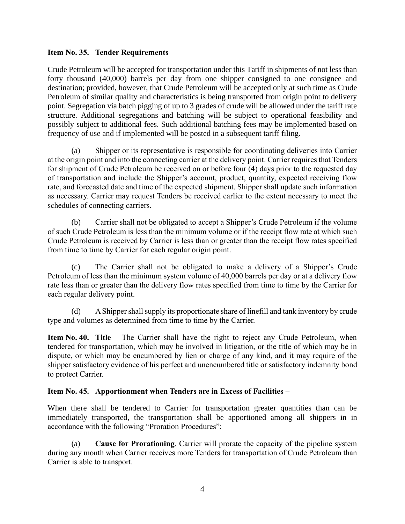#### **Item No. 35. Tender Requirements** –

Crude Petroleum will be accepted for transportation under this Tariff in shipments of not less than forty thousand (40,000) barrels per day from one shipper consigned to one consignee and destination; provided, however, that Crude Petroleum will be accepted only at such time as Crude Petroleum of similar quality and characteristics is being transported from origin point to delivery point. Segregation via batch pigging of up to 3 grades of crude will be allowed under the tariff rate structure. Additional segregations and batching will be subject to operational feasibility and possibly subject to additional fees. Such additional batching fees may be implemented based on frequency of use and if implemented will be posted in a subsequent tariff filing.

(a) Shipper or its representative is responsible for coordinating deliveries into Carrier at the origin point and into the connecting carrier at the delivery point. Carrier requires that Tenders for shipment of Crude Petroleum be received on or before four (4) days prior to the requested day of transportation and include the Shipper's account, product, quantity, expected receiving flow rate, and forecasted date and time of the expected shipment. Shipper shall update such information as necessary. Carrier may request Tenders be received earlier to the extent necessary to meet the schedules of connecting carriers.

(b) Carrier shall not be obligated to accept a Shipper's Crude Petroleum if the volume of such Crude Petroleum is less than the minimum volume or if the receipt flow rate at which such Crude Petroleum is received by Carrier is less than or greater than the receipt flow rates specified from time to time by Carrier for each regular origin point.

(c) The Carrier shall not be obligated to make a delivery of a Shipper's Crude Petroleum of less than the minimum system volume of 40,000 barrels per day or at a delivery flow rate less than or greater than the delivery flow rates specified from time to time by the Carrier for each regular delivery point.

(d) A Shipper shall supply its proportionate share of linefill and tank inventory by crude type and volumes as determined from time to time by the Carrier.

**Item No. 40. Title** – The Carrier shall have the right to reject any Crude Petroleum, when tendered for transportation, which may be involved in litigation, or the title of which may be in dispute, or which may be encumbered by lien or charge of any kind, and it may require of the shipper satisfactory evidence of his perfect and unencumbered title or satisfactory indemnity bond to protect Carrier.

## **Item No. 45. Apportionment when Tenders are in Excess of Facilities** –

When there shall be tendered to Carrier for transportation greater quantities than can be immediately transported, the transportation shall be apportioned among all shippers in in accordance with the following "Proration Procedures":

(a) **Cause for Prorationing**. Carrier will prorate the capacity of the pipeline system during any month when Carrier receives more Tenders for transportation of Crude Petroleum than Carrier is able to transport.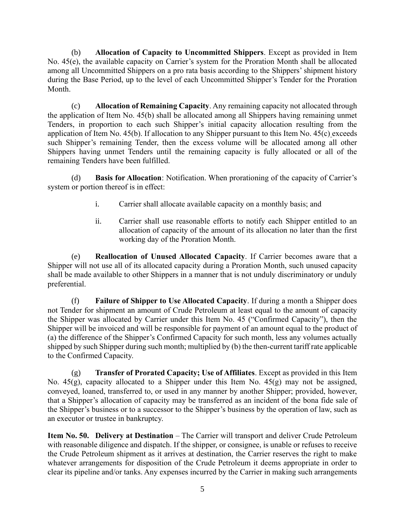(b) **Allocation of Capacity to Uncommitted Shippers**. Except as provided in Item No. 45(e), the available capacity on Carrier's system for the Proration Month shall be allocated among all Uncommitted Shippers on a pro rata basis according to the Shippers' shipment history during the Base Period, up to the level of each Uncommitted Shipper's Tender for the Proration Month.

(c) **Allocation of Remaining Capacity**. Any remaining capacity not allocated through the application of Item No. 45(b) shall be allocated among all Shippers having remaining unmet Tenders, in proportion to each such Shipper's initial capacity allocation resulting from the application of Item No. 45(b). If allocation to any Shipper pursuant to this Item No. 45(c) exceeds such Shipper's remaining Tender, then the excess volume will be allocated among all other Shippers having unmet Tenders until the remaining capacity is fully allocated or all of the remaining Tenders have been fulfilled.

(d) **Basis for Allocation**: Notification. When prorationing of the capacity of Carrier's system or portion thereof is in effect:

- i. Carrier shall allocate available capacity on a monthly basis; and
- ii. Carrier shall use reasonable efforts to notify each Shipper entitled to an allocation of capacity of the amount of its allocation no later than the first working day of the Proration Month.

(e) **Reallocation of Unused Allocated Capacity**. If Carrier becomes aware that a Shipper will not use all of its allocated capacity during a Proration Month, such unused capacity shall be made available to other Shippers in a manner that is not unduly discriminatory or unduly preferential.

(f) **Failure of Shipper to Use Allocated Capacity**. If during a month a Shipper does not Tender for shipment an amount of Crude Petroleum at least equal to the amount of capacity the Shipper was allocated by Carrier under this Item No. 45 ("Confirmed Capacity"), then the Shipper will be invoiced and will be responsible for payment of an amount equal to the product of (a) the difference of the Shipper's Confirmed Capacity for such month, less any volumes actually shipped by such Shipper during such month; multiplied by (b) the then-current tariff rate applicable to the Confirmed Capacity.

(g) **Transfer of Prorated Capacity; Use of Affiliates**. Except as provided in this Item No. 45(g), capacity allocated to a Shipper under this Item No. 45(g) may not be assigned, conveyed, loaned, transferred to, or used in any manner by another Shipper; provided, however, that a Shipper's allocation of capacity may be transferred as an incident of the bona fide sale of the Shipper's business or to a successor to the Shipper's business by the operation of law, such as an executor or trustee in bankruptcy.

**Item No. 50. Delivery at Destination** – The Carrier will transport and deliver Crude Petroleum with reasonable diligence and dispatch. If the shipper, or consignee, is unable or refuses to receive the Crude Petroleum shipment as it arrives at destination, the Carrier reserves the right to make whatever arrangements for disposition of the Crude Petroleum it deems appropriate in order to clear its pipeline and/or tanks. Any expenses incurred by the Carrier in making such arrangements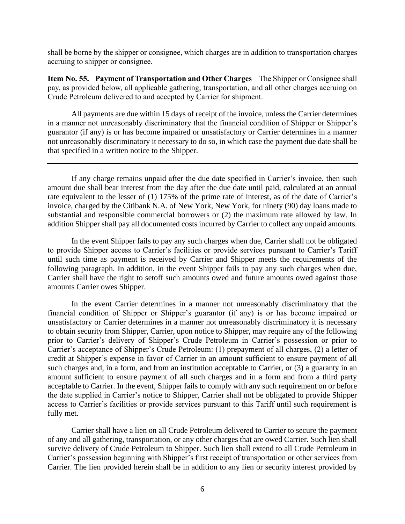shall be borne by the shipper or consignee, which charges are in addition to transportation charges accruing to shipper or consignee.

**Item No. 55. Payment of Transportation and Other Charges** – The Shipper or Consignee shall pay, as provided below, all applicable gathering, transportation, and all other charges accruing on Crude Petroleum delivered to and accepted by Carrier for shipment.

All payments are due within 15 days of receipt of the invoice, unless the Carrier determines in a manner not unreasonably discriminatory that the financial condition of Shipper or Shipper's guarantor (if any) is or has become impaired or unsatisfactory or Carrier determines in a manner not unreasonably discriminatory it necessary to do so, in which case the payment due date shall be that specified in a written notice to the Shipper.

If any charge remains unpaid after the due date specified in Carrier's invoice, then such amount due shall bear interest from the day after the due date until paid, calculated at an annual rate equivalent to the lesser of (1) 175% of the prime rate of interest, as of the date of Carrier's invoice, charged by the Citibank N.A. of New York, New York, for ninety (90) day loans made to substantial and responsible commercial borrowers or (2) the maximum rate allowed by law. In addition Shipper shall pay all documented costs incurred by Carrier to collect any unpaid amounts.

In the event Shipper fails to pay any such charges when due, Carrier shall not be obligated to provide Shipper access to Carrier's facilities or provide services pursuant to Carrier's Tariff until such time as payment is received by Carrier and Shipper meets the requirements of the following paragraph. In addition, in the event Shipper fails to pay any such charges when due, Carrier shall have the right to setoff such amounts owed and future amounts owed against those amounts Carrier owes Shipper.

In the event Carrier determines in a manner not unreasonably discriminatory that the financial condition of Shipper or Shipper's guarantor (if any) is or has become impaired or unsatisfactory or Carrier determines in a manner not unreasonably discriminatory it is necessary to obtain security from Shipper, Carrier, upon notice to Shipper, may require any of the following prior to Carrier's delivery of Shipper's Crude Petroleum in Carrier's possession or prior to Carrier's acceptance of Shipper's Crude Petroleum: (1) prepayment of all charges, (2) a letter of credit at Shipper's expense in favor of Carrier in an amount sufficient to ensure payment of all such charges and, in a form, and from an institution acceptable to Carrier, or  $(3)$  a guaranty in an amount sufficient to ensure payment of all such charges and in a form and from a third party acceptable to Carrier. In the event, Shipper fails to comply with any such requirement on or before the date supplied in Carrier's notice to Shipper, Carrier shall not be obligated to provide Shipper access to Carrier's facilities or provide services pursuant to this Tariff until such requirement is fully met.

Carrier shall have a lien on all Crude Petroleum delivered to Carrier to secure the payment of any and all gathering, transportation, or any other charges that are owed Carrier. Such lien shall survive delivery of Crude Petroleum to Shipper. Such lien shall extend to all Crude Petroleum in Carrier's possession beginning with Shipper's first receipt of transportation or other services from Carrier. The lien provided herein shall be in addition to any lien or security interest provided by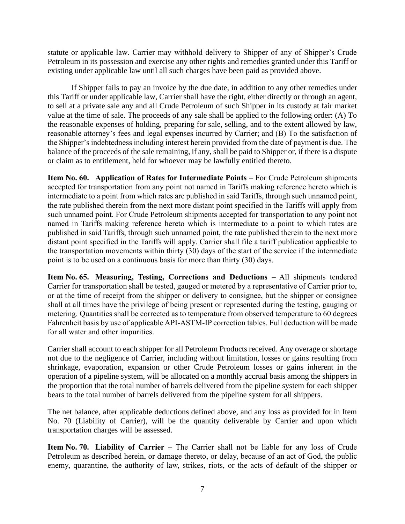statute or applicable law. Carrier may withhold delivery to Shipper of any of Shipper's Crude Petroleum in its possession and exercise any other rights and remedies granted under this Tariff or existing under applicable law until all such charges have been paid as provided above.

If Shipper fails to pay an invoice by the due date, in addition to any other remedies under this Tariff or under applicable law, Carrier shall have the right, either directly or through an agent, to sell at a private sale any and all Crude Petroleum of such Shipper in its custody at fair market value at the time of sale. The proceeds of any sale shall be applied to the following order: (A) To the reasonable expenses of holding, preparing for sale, selling, and to the extent allowed by law, reasonable attorney's fees and legal expenses incurred by Carrier; and (B) To the satisfaction of the Shipper's indebtedness including interest herein provided from the date of payment is due. The balance of the proceeds of the sale remaining, if any, shall be paid to Shipper or, if there is a dispute or claim as to entitlement, held for whoever may be lawfully entitled thereto.

**Item No. 60. Application of Rates for Intermediate Points** – For Crude Petroleum shipments accepted for transportation from any point not named in Tariffs making reference hereto which is intermediate to a point from which rates are published in said Tariffs, through such unnamed point, the rate published therein from the next more distant point specified in the Tariffs will apply from such unnamed point. For Crude Petroleum shipments accepted for transportation to any point not named in Tariffs making reference hereto which is intermediate to a point to which rates are published in said Tariffs, through such unnamed point, the rate published therein to the next more distant point specified in the Tariffs will apply. Carrier shall file a tariff publication applicable to the transportation movements within thirty (30) days of the start of the service if the intermediate point is to be used on a continuous basis for more than thirty (30) days.

**Item No. 65. Measuring, Testing, Corrections and Deductions** – All shipments tendered Carrier for transportation shall be tested, gauged or metered by a representative of Carrier prior to, or at the time of receipt from the shipper or delivery to consignee, but the shipper or consignee shall at all times have the privilege of being present or represented during the testing, gauging or metering. Quantities shall be corrected as to temperature from observed temperature to 60 degrees Fahrenheit basis by use of applicable API-ASTM-IP correction tables. Full deduction will be made for all water and other impurities.

Carrier shall account to each shipper for all Petroleum Products received. Any overage or shortage not due to the negligence of Carrier, including without limitation, losses or gains resulting from shrinkage, evaporation, expansion or other Crude Petroleum losses or gains inherent in the operation of a pipeline system, will be allocated on a monthly accrual basis among the shippers in the proportion that the total number of barrels delivered from the pipeline system for each shipper bears to the total number of barrels delivered from the pipeline system for all shippers.

The net balance, after applicable deductions defined above, and any loss as provided for in Item No. 70 (Liability of Carrier), will be the quantity deliverable by Carrier and upon which transportation charges will be assessed.

**Item No. 70. Liability of Carrier** – The Carrier shall not be liable for any loss of Crude Petroleum as described herein, or damage thereto, or delay, because of an act of God, the public enemy, quarantine, the authority of law, strikes, riots, or the acts of default of the shipper or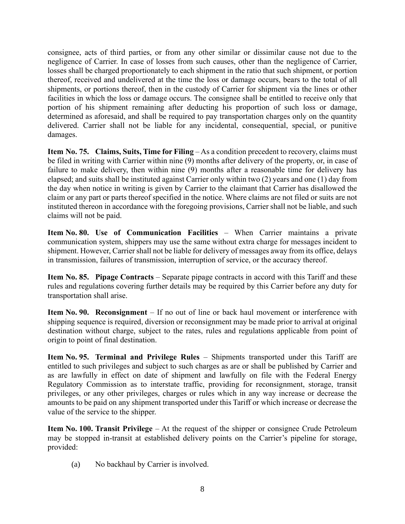consignee, acts of third parties, or from any other similar or dissimilar cause not due to the negligence of Carrier. In case of losses from such causes, other than the negligence of Carrier, losses shall be charged proportionately to each shipment in the ratio that such shipment, or portion thereof, received and undelivered at the time the loss or damage occurs, bears to the total of all shipments, or portions thereof, then in the custody of Carrier for shipment via the lines or other facilities in which the loss or damage occurs. The consignee shall be entitled to receive only that portion of his shipment remaining after deducting his proportion of such loss or damage, determined as aforesaid, and shall be required to pay transportation charges only on the quantity delivered. Carrier shall not be liable for any incidental, consequential, special, or punitive damages.

**Item No. 75. Claims, Suits, Time for Filing** – As a condition precedent to recovery, claims must be filed in writing with Carrier within nine (9) months after delivery of the property, or, in case of failure to make delivery, then within nine (9) months after a reasonable time for delivery has elapsed; and suits shall be instituted against Carrier only within two (2) years and one (1) day from the day when notice in writing is given by Carrier to the claimant that Carrier has disallowed the claim or any part or parts thereof specified in the notice. Where claims are not filed or suits are not instituted thereon in accordance with the foregoing provisions, Carrier shall not be liable, and such claims will not be paid.

**Item No. 80. Use of Communication Facilities** – When Carrier maintains a private communication system, shippers may use the same without extra charge for messages incident to shipment. However, Carrier shall not be liable for delivery of messages away from its office, delays in transmission, failures of transmission, interruption of service, or the accuracy thereof.

**Item No. 85. Pipage Contracts** – Separate pipage contracts in accord with this Tariff and these rules and regulations covering further details may be required by this Carrier before any duty for transportation shall arise.

**Item No. 90. Reconsignment** – If no out of line or back haul movement or interference with shipping sequence is required, diversion or reconsignment may be made prior to arrival at original destination without charge, subject to the rates, rules and regulations applicable from point of origin to point of final destination.

**Item No. 95. Terminal and Privilege Rules** – Shipments transported under this Tariff are entitled to such privileges and subject to such charges as are or shall be published by Carrier and as are lawfully in effect on date of shipment and lawfully on file with the Federal Energy Regulatory Commission as to interstate traffic, providing for reconsignment, storage, transit privileges, or any other privileges, charges or rules which in any way increase or decrease the amounts to be paid on any shipment transported under this Tariff or which increase or decrease the value of the service to the shipper.

**Item No. 100. Transit Privilege** – At the request of the shipper or consignee Crude Petroleum may be stopped in-transit at established delivery points on the Carrier's pipeline for storage, provided:

(a) No backhaul by Carrier is involved.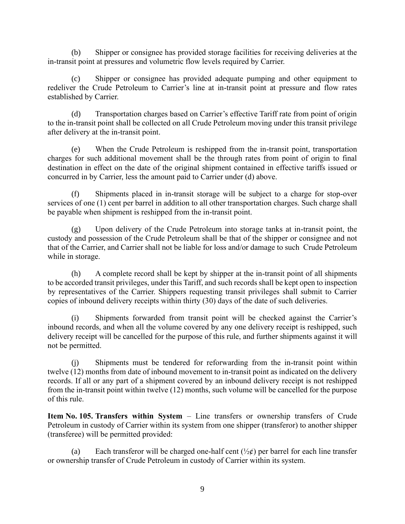(b) Shipper or consignee has provided storage facilities for receiving deliveries at the in-transit point at pressures and volumetric flow levels required by Carrier.

(c) Shipper or consignee has provided adequate pumping and other equipment to redeliver the Crude Petroleum to Carrier's line at in-transit point at pressure and flow rates established by Carrier.

(d) Transportation charges based on Carrier's effective Tariff rate from point of origin to the in-transit point shall be collected on all Crude Petroleum moving under this transit privilege after delivery at the in-transit point.

(e) When the Crude Petroleum is reshipped from the in-transit point, transportation charges for such additional movement shall be the through rates from point of origin to final destination in effect on the date of the original shipment contained in effective tariffs issued or concurred in by Carrier, less the amount paid to Carrier under (d) above.

(f) Shipments placed in in-transit storage will be subject to a charge for stop-over services of one (1) cent per barrel in addition to all other transportation charges. Such charge shall be payable when shipment is reshipped from the in-transit point.

(g) Upon delivery of the Crude Petroleum into storage tanks at in-transit point, the custody and possession of the Crude Petroleum shall be that of the shipper or consignee and not that of the Carrier, and Carrier shall not be liable for loss and/or damage to such Crude Petroleum while in storage.

(h) A complete record shall be kept by shipper at the in-transit point of all shipments to be accorded transit privileges, under this Tariff, and such records shall be kept open to inspection by representatives of the Carrier. Shippers requesting transit privileges shall submit to Carrier copies of inbound delivery receipts within thirty (30) days of the date of such deliveries.

(i) Shipments forwarded from transit point will be checked against the Carrier's inbound records, and when all the volume covered by any one delivery receipt is reshipped, such delivery receipt will be cancelled for the purpose of this rule, and further shipments against it will not be permitted.

(j) Shipments must be tendered for reforwarding from the in-transit point within twelve (12) months from date of inbound movement to in-transit point as indicated on the delivery records. If all or any part of a shipment covered by an inbound delivery receipt is not reshipped from the in-transit point within twelve (12) months, such volume will be cancelled for the purpose of this rule.

**Item No. 105. Transfers within System** – Line transfers or ownership transfers of Crude Petroleum in custody of Carrier within its system from one shipper (transferor) to another shipper (transferee) will be permitted provided:

(a) Each transferor will be charged one-half cent  $(\frac{1}{2}\xi)$  per barrel for each line transfer or ownership transfer of Crude Petroleum in custody of Carrier within its system.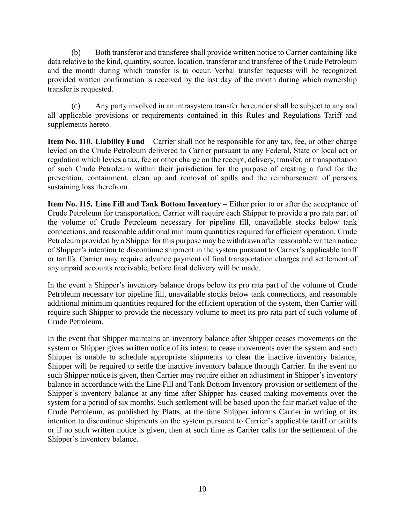(b) Both transferor and transferee shall provide written notice to Carrier containing like data relative to the kind, quantity, source, location, transferor and transferee of the Crude Petroleum and the month during which transfer is to occur. Verbal transfer requests will be recognized provided written confirmation is received by the last day of the month during which ownership transfer is requested.

(c) Any party involved in an intrasystem transfer hereunder shall be subject to any and all applicable provisions or requirements contained in this Rules and Regulations Tariff and supplements hereto.

**Item No. 110. Liability Fund** – Carrier shall not be responsible for any tax, fee, or other charge levied on the Crude Petroleum delivered to Carrier pursuant to any Federal, State or local act or regulation which levies a tax, fee or other charge on the receipt, delivery, transfer, or transportation of such Crude Petroleum within their jurisdiction for the purpose of creating a fund for the prevention, containment, clean up and removal of spills and the reimbursement of persons sustaining loss therefrom.

**Item No. 115. Line Fill and Tank Bottom Inventory** – Either prior to or after the acceptance of Crude Petroleum for transportation, Carrier will require each Shipper to provide a pro rata part of the volume of Crude Petroleum necessary for pipeline fill, unavailable stocks below tank connections, and reasonable additional minimum quantities required for efficient operation. Crude Petroleum provided by a Shipper for this purpose may be withdrawn after reasonable written notice of Shipper's intention to discontinue shipment in the system pursuant to Carrier's applicable tariff or tariffs. Carrier may require advance payment of final transportation charges and settlement of any unpaid accounts receivable, before final delivery will be made.

In the event a Shipper's inventory balance drops below its pro rata part of the volume of Crude Petroleum necessary for pipeline fill, unavailable stocks below tank connections, and reasonable additional minimum quantities required for the efficient operation of the system, then Carrier will require such Shipper to provide the necessary volume to meet its pro rata part of such volume of Crude Petroleum.

In the event that Shipper maintains an inventory balance after Shipper ceases movements on the system or Shipper gives written notice of its intent to cease movements over the system and such Shipper is unable to schedule appropriate shipments to clear the inactive inventory balance, Shipper will be required to settle the inactive inventory balance through Carrier. In the event no such Shipper notice is given, then Carrier may require either an adjustment in Shipper's inventory balance in accordance with the Line Fill and Tank Bottom Inventory provision or settlement of the Shipper's inventory balance at any time after Shipper has ceased making movements over the system for a period of six months. Such settlement will be based upon the fair market value of the Crude Petroleum, as published by Platts, at the time Shipper informs Carrier in writing of its intention to discontinue shipments on the system pursuant to Carrier's applicable tariff or tariffs or if no such written notice is given, then at such time as Carrier calls for the settlement of the Shipper's inventory balance.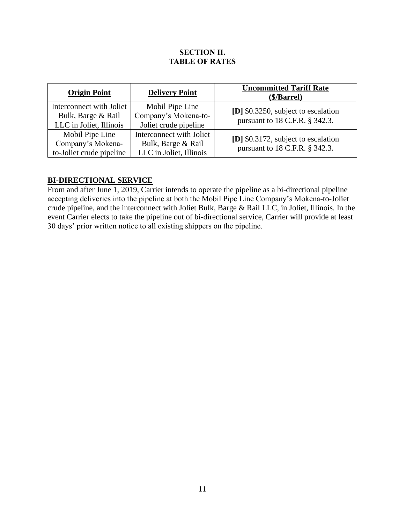#### **SECTION II. TABLE OF RATES**

| <b>Origin Point</b>                                                       | <b>Delivery Point</b>                                                     | <b>Uncommitted Tariff Rate</b><br>(\$/Barrel)                         |
|---------------------------------------------------------------------------|---------------------------------------------------------------------------|-----------------------------------------------------------------------|
| Interconnect with Joliet<br>Bulk, Barge & Rail<br>LLC in Joliet, Illinois | Mobil Pipe Line<br>Company's Mokena-to-<br>Joliet crude pipeline          | [D] \$0.3250, subject to escalation<br>pursuant to 18 C.F.R. § 342.3. |
| Mobil Pipe Line<br>Company's Mokena-<br>to-Joliet crude pipeline          | Interconnect with Joliet<br>Bulk, Barge & Rail<br>LLC in Joliet, Illinois | [D] \$0.3172, subject to escalation<br>pursuant to 18 C.F.R. § 342.3. |

# **BI-DIRECTIONAL SERVICE**

From and after June 1, 2019, Carrier intends to operate the pipeline as a bi-directional pipeline accepting deliveries into the pipeline at both the Mobil Pipe Line Company's Mokena-to-Joliet crude pipeline, and the interconnect with Joliet Bulk, Barge & Rail LLC, in Joliet, Illinois. In the event Carrier elects to take the pipeline out of bi-directional service, Carrier will provide at least 30 days' prior written notice to all existing shippers on the pipeline.